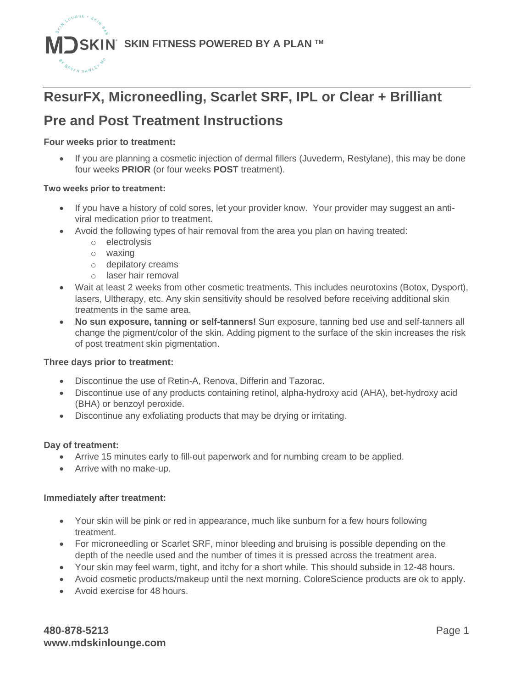

# **ResurFX, Microneedling, Scarlet SRF, IPL or Clear + Brilliant**

## **Pre and Post Treatment Instructions**

#### **Four weeks prior to treatment:**

• If you are planning a cosmetic injection of dermal fillers (Juvederm, Restylane), this may be done four weeks **PRIOR** (or four weeks **POST** treatment).

#### **Two weeks prior to treatment:**

- If you have a history of cold sores, let your provider know. Your provider may suggest an antiviral medication prior to treatment.
- Avoid the following types of hair removal from the area you plan on having treated:
	- o electrolysis
	- o waxing
	- o depilatory creams
	- o laser hair removal
- Wait at least 2 weeks from other cosmetic treatments. This includes neurotoxins (Botox, Dysport), lasers, Ultherapy, etc. Any skin sensitivity should be resolved before receiving additional skin treatments in the same area.
- **No sun exposure, tanning or self-tanners!** Sun exposure, tanning bed use and self-tanners all change the pigment/color of the skin. Adding pigment to the surface of the skin increases the risk of post treatment skin pigmentation.

#### **Three days prior to treatment:**

- Discontinue the use of Retin-A, Renova, Differin and Tazorac.
- Discontinue use of any products containing retinol, alpha-hydroxy acid (AHA), bet-hydroxy acid (BHA) or benzoyl peroxide.
- Discontinue any exfoliating products that may be drying or irritating.

#### **Day of treatment:**

- Arrive 15 minutes early to fill-out paperwork and for numbing cream to be applied.
- Arrive with no make-up.

#### **Immediately after treatment:**

- Your skin will be pink or red in appearance, much like sunburn for a few hours following treatment.
- For microneedling or Scarlet SRF, minor bleeding and bruising is possible depending on the depth of the needle used and the number of times it is pressed across the treatment area.
- Your skin may feel warm, tight, and itchy for a short while. This should subside in 12-48 hours.
- Avoid cosmetic products/makeup until the next morning. ColoreScience products are ok to apply.
- Avoid exercise for 48 hours.